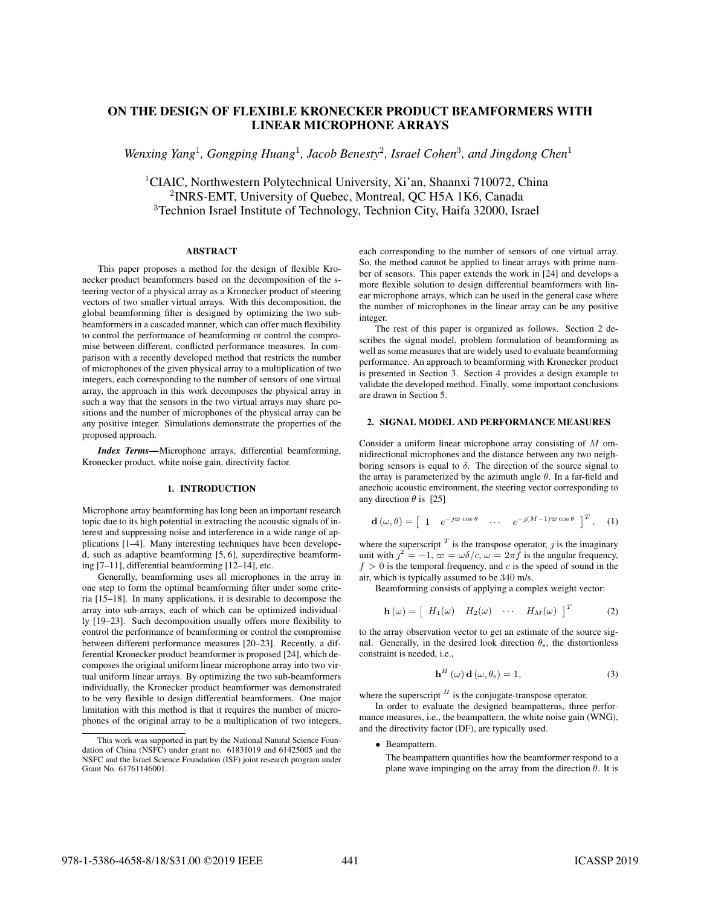# ON THE DESIGN OF FLEXIBLE KRONECKER PRODUCT BEAMFORMERS WITH LINEAR MICROPHONE ARRAYS

Wenxing Yang<sup>1</sup>, Gongping Huang<sup>1</sup>, Jacob Benesty<sup>2</sup>, Israel Cohen<sup>3</sup>, and Jingdong Chen<sup>1</sup>

<sup>1</sup>CIAIC, Northwestern Polytechnical University, Xi'an, Shaanxi 710072, China <sup>2</sup> INRS-EMT, University of Quebec, Montreal, QC H5A 1K6, Canada <sup>3</sup>Technion Israel Institute of Technology, Technion City, Haifa 32000, Israel

## ABSTRACT

This paper proposes a method for the design of flexible Kronecker product beamformers based on the decomposition of the steering vector of a physical array as a Kronecker product of steering vectors of two smaller virtual arrays. With this decomposition, the global beamforming filter is designed by optimizing the two subbeamformers in a cascaded manner, which can offer much flexibility to control the performance of beamforming or control the compromise between different, conflicted performance measures. In comparison with a recently developed method that restricts the number of microphones of the given physical array to a multiplication of two integers, each corresponding to the number of sensors of one virtual array, the approach in this work decomposes the physical array in such a way that the sensors in the two virtual arrays may share positions and the number of microphones of the physical array can be any positive integer. Simulations demonstrate the properties of the proposed approach.

*Index Terms*—Microphone arrays, differential beamforming, Kronecker product, white noise gain, directivity factor.

## 1. INTRODUCTION

Microphone array beamforming has long been an important research topic due to its high potential in extracting the acoustic signals of interest and suppressing noise and interference in a wide range of applications [1–4]. Many interesting techniques have been developed, such as adaptive beamforming [5, 6], superdirective beamforming [7–11], differential beamforming [12–14], etc.

Generally, beamforming uses all microphones in the array in one step to form the optimal beamforming filter under some criteria [15–18]. In many applications, it is desirable to decompose the array into sub-arrays, each of which can be optimized individually [19–23]. Such decomposition usually offers more flexibility to control the performance of beamforming or control the compromise between different performance measures [20–23]. Recently, a differential Kronecker product beamformer is proposed [24], which decomposes the original uniform linear microphone array into two virtual uniform linear arrays. By optimizing the two sub-beamformers individually, the Kronecker product beamformer was demonstrated to be very flexible to design differential beamformers. One major limitation with this method is that it requires the number of microphones of the original array to be a multiplication of two integers,

each corresponding to the number of sensors of one virtual array. So, the method cannot be applied to linear arrays with prime number of sensors. This paper extends the work in [24] and develops a more flexible solution to design differential beamformers with linear microphone arrays, which can be used in the general case where the number of microphones in the linear array can be any positive integer.

The rest of this paper is organized as follows. Section 2 describes the signal model, problem formulation of beamforming as well as some measures that are widely used to evaluate beamforming performance. An approach to beamforming with Kronecker product is presented in Section 3. Section 4 provides a design example to validate the developed method. Finally, some important conclusions are drawn in Section 5.

## 2. SIGNAL MODEL AND PERFORMANCE MEASURES

Consider a uniform linear microphone array consisting of *M* omnidirectional microphones and the distance between any two neighboring sensors is equal to  $\delta$ . The direction of the source signal to the array is parameterized by the azimuth angle *θ*. In a far-field and anechoic acoustic environment, the steering vector corresponding to any direction  $\theta$  is [25]

$$
\mathbf{d}\left(\omega,\theta\right) = \begin{bmatrix} 1 & e^{-j\varpi\cos\theta} & \cdots & e^{-j(M-1)\varpi\cos\theta} \end{bmatrix}^T, \quad (1)
$$

where the superscript  $^T$  is the transpose operator,  $\jmath$  is the imaginary unit with  $j^2 = -1$ ,  $\varpi = \omega \delta/c$ ,  $\omega = 2\pi f$  is the angular frequency,  $f > 0$  is the temporal frequency, and  $c$  is the speed of sound in the air, which is typically assumed to be 340 m/s.

Beamforming consists of applying a complex weight vector:

$$
\mathbf{h}(\omega) = \begin{bmatrix} H_1(\omega) & H_2(\omega) & \cdots & H_M(\omega) \end{bmatrix}^T
$$
 (2)

to the array observation vector to get an estimate of the source signal. Generally, in the desired look direction  $\theta_s$ , the distortionless constraint is needed, i.e.,

$$
\mathbf{h}^{H}(\omega)\,\mathbf{d}(\omega,\theta_{\mathrm{s}})=1,\tag{3}
$$

where the superscript  $<sup>H</sup>$  is the conjugate-transpose operator.</sup>

In order to evaluate the designed beampatterns, three performance measures, i.e., the beampattern, the white noise gain (WNG), and the directivity factor (DF), are typically used.

*•* Beampattern.

The beampattern quantifies how the beamformer respond to a plane wave impinging on the array from the direction *θ*. It is

This work was supported in part by the National Natural Science Foundation of China (NSFC) under grant no. 61831019 and 61425005 and the NSFC and the Israel Science Foundation (ISF) joint research program under Grant No. 61761146001.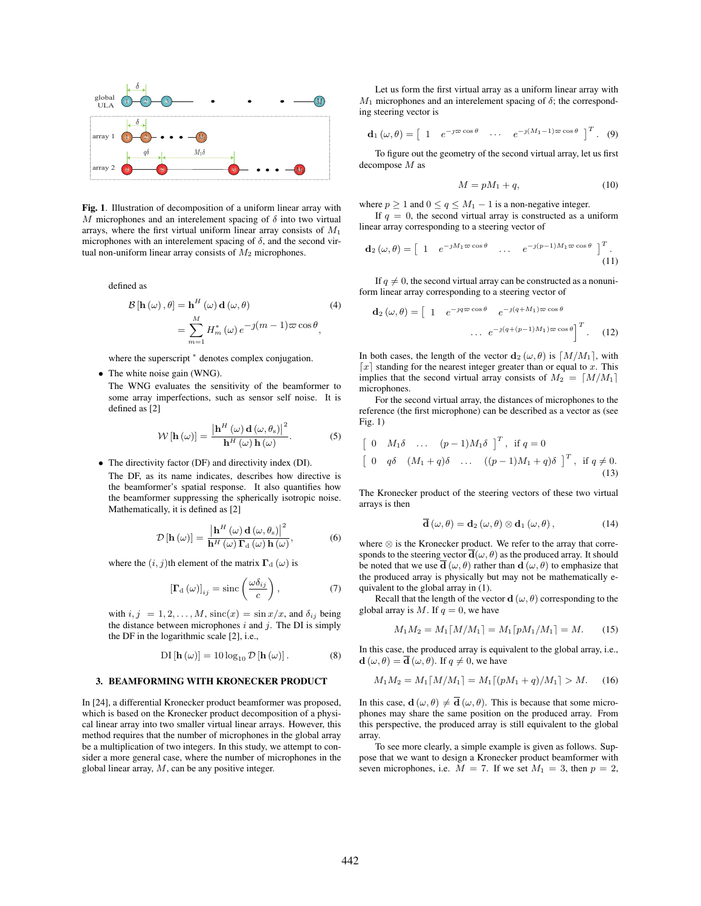

Fig. 1. Illustration of decomposition of a uniform linear array with *M* microphones and an interelement spacing of  $\delta$  into two virtual arrays, where the first virtual uniform linear array consists of *M*<sup>1</sup> microphones with an interelement spacing of  $\delta$ , and the second virtual non-uniform linear array consists of *M*<sup>2</sup> microphones.

defined as

$$
\mathcal{B}[\mathbf{h}(\omega), \theta] = \mathbf{h}^{H}(\omega) \mathbf{d}(\omega, \theta)
$$
\n
$$
= \sum_{m=1}^{M} H_{m}^{*}(\omega) e^{-j(m-1)\varpi \cos \theta},
$$
\n(4)

where the superscript *<sup>∗</sup>* denotes complex conjugation.

*•* The white noise gain (WNG).

The WNG evaluates the sensitivity of the beamformer to some array imperfections, such as sensor self noise. It is defined as [2]

$$
\mathcal{W}\left[\mathbf{h}\left(\omega\right)\right] = \frac{\left|\mathbf{h}^{H}\left(\omega\right)\mathbf{d}\left(\omega,\theta_{\mathrm{s}}\right)\right|^{2}}{\mathbf{h}^{H}\left(\omega\right)\mathbf{h}\left(\omega\right)}.\tag{5}
$$

*•* The directivity factor (DF) and directivity index (DI).

The DF, as its name indicates, describes how directive is the beamformer's spatial response. It also quantifies how the beamformer suppressing the spherically isotropic noise. Mathematically, it is defined as [2]

$$
\mathcal{D}\left[\mathbf{h}\left(\omega\right)\right] = \frac{\left|\mathbf{h}^{H}\left(\omega\right)\mathbf{d}\left(\omega,\theta_{\mathrm{s}}\right)\right|^{2}}{\mathbf{h}^{H}\left(\omega\right)\mathbf{\Gamma}_{\mathrm{d}}\left(\omega\right)\mathbf{h}\left(\omega\right)},\tag{6}
$$

where the  $(i, j)$ th element of the matrix  $\Gamma_d(\omega)$  is

$$
\left[\Gamma_{\rm d}\left(\omega\right)\right]_{ij} = \text{sinc}\left(\frac{\omega\delta_{ij}}{c}\right),\tag{7}
$$

with  $i, j = 1, 2, \ldots, M$ ,  $\operatorname{sinc}(x) = \sin(x/x)$ , and  $\delta_{ij}$  being the distance between microphones *i* and *j*. The DI is simply the DF in the logarithmic scale [2], i.e.,

$$
\mathrm{DI}\left[\mathbf{h}\left(\omega\right)\right] = 10\log_{10}\mathcal{D}\left[\mathbf{h}\left(\omega\right)\right].\tag{8}
$$

#### 3. BEAMFORMING WITH KRONECKER PRODUCT

In [24], a differential Kronecker product beamformer was proposed, which is based on the Kronecker product decomposition of a physical linear array into two smaller virtual linear arrays. However, this method requires that the number of microphones in the global array be a multiplication of two integers. In this study, we attempt to consider a more general case, where the number of microphones in the global linear array, *M*, can be any positive integer.

Let us form the first virtual array as a uniform linear array with  $M_1$  microphones and an interelement spacing of  $\delta$ ; the corresponding steering vector is

$$
\mathbf{d}_1(\omega,\theta) = \begin{bmatrix} 1 & e^{-j\varpi \cos \theta} & \cdots & e^{-j(M_1-1)\varpi \cos \theta} \end{bmatrix}^T. (9)
$$

To figure out the geometry of the second virtual array, let us first decompose *M* as

$$
M = pM_1 + q,\t\t(10)
$$

where  $p \geq 1$  and  $0 \leq q \leq M_1 - 1$  is a non-negative integer.

If  $q = 0$ , the second virtual array is constructed as a uniform linear array corresponding to a steering vector of

$$
\mathbf{d}_2(\omega,\theta) = \begin{bmatrix} 1 & e^{-jM_1\varpi\cos\theta} & \cdots & e^{-j(p-1)M_1\varpi\cos\theta} \end{bmatrix}^T.
$$
\n(11)

If  $q \neq 0$ , the second virtual array can be constructed as a nonuniform linear array corresponding to a steering vector of

$$
\mathbf{d}_2(\omega,\theta) = \begin{bmatrix} 1 & e^{-j q \varpi \cos \theta} & e^{-j (q+M_1) \varpi \cos \theta} \\ \cdots & e^{-j (q+(p-1)M_1) \varpi \cos \theta} \end{bmatrix}^T. \tag{12}
$$

In both cases, the length of the vector  $\mathbf{d}_2(\omega, \theta)$  is  $\lceil M/M_1 \rceil$ , with  $\lceil x \rceil$  standing for the nearest integer greater than or equal to *x*. This implies that the second virtual array consists of  $M_2 = \lceil M/M_1 \rceil$ microphones.

For the second virtual array, the distances of microphones to the reference (the first microphone) can be described as a vector as (see Fig. 1)

$$
\begin{bmatrix} 0 & M_1\delta & \dots & (p-1)M_1\delta \end{bmatrix}^T, \text{ if } q=0
$$
  

$$
\begin{bmatrix} 0 & q\delta & (M_1+q)\delta & \dots & ((p-1)M_1+q)\delta \end{bmatrix}^T, \text{ if } q \neq 0.
$$
  
(13)

The Kronecker product of the steering vectors of these two virtual arrays is then

$$
\overline{\mathbf{d}}\left(\omega,\theta\right) = \mathbf{d}_2\left(\omega,\theta\right) \otimes \mathbf{d}_1\left(\omega,\theta\right),\tag{14}
$$

where *⊗* is the Kronecker product. We refer to the array that corresponds to the steering vector  $\overline{\mathbf{d}}(\omega,\theta)$  as the produced array. It should be noted that we use  $\overline{\mathbf{d}}(\omega,\theta)$  rather than  $\mathbf{d}(\omega,\theta)$  to emphasize that the produced array is physically but may not be mathematically equivalent to the global array in (1).

Recall that the length of the vector **d**  $(\omega, \theta)$  corresponding to the global array is  $M$ . If  $q = 0$ , we have

$$
M_1 M_2 = M_1 \lceil M/M_1 \rceil = M_1 \lceil pM_1/M_1 \rceil = M. \tag{15}
$$

In this case, the produced array is equivalent to the global array, i.e.,  $\mathbf{d}(\omega,\theta) = \mathbf{\overline{d}}(\omega,\theta)$ . If  $q \neq 0$ , we have

$$
M_1 M_2 = M_1 \lceil M/M_1 \rceil = M_1 \lceil (pM_1 + q)/M_1 \rceil > M. \tag{16}
$$

In this case,  $\mathbf{d}(\omega,\theta) \neq \overline{\mathbf{d}}(\omega,\theta)$ . This is because that some microphones may share the same position on the produced array. From this perspective, the produced array is still equivalent to the global array.

To see more clearly, a simple example is given as follows. Suppose that we want to design a Kronecker product beamformer with seven microphones, i.e.  $M = 7$ . If we set  $M_1 = 3$ , then  $p = 2$ ,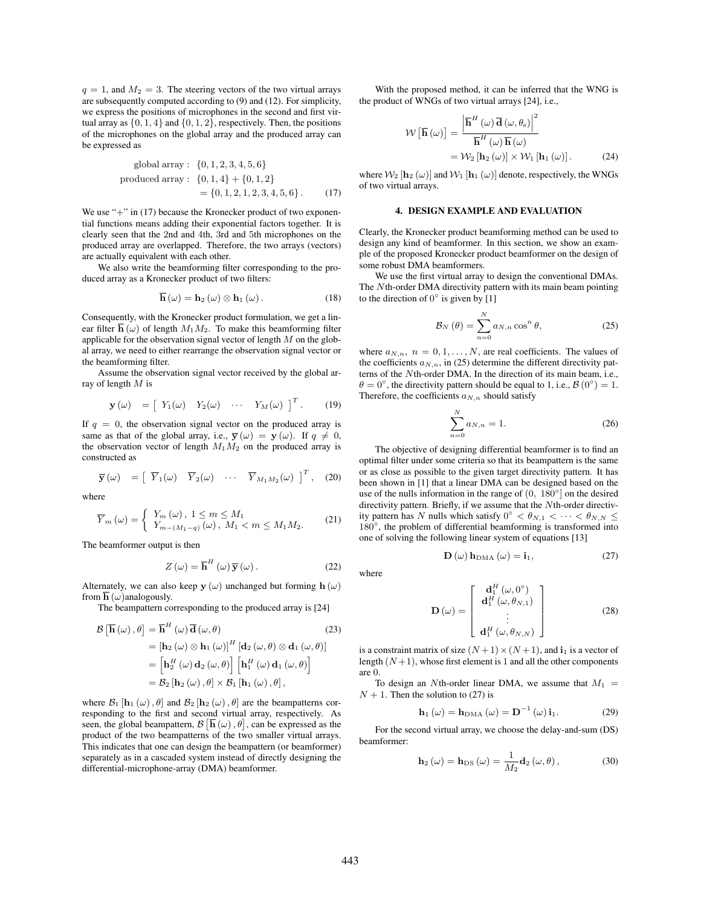$q = 1$ , and  $M_2 = 3$ . The steering vectors of the two virtual arrays are subsequently computed according to (9) and (12). For simplicity, we express the positions of microphones in the second and first virtual array as  $\{0, 1, 4\}$  and  $\{0, 1, 2\}$ , respectively. Then, the positions of the microphones on the global array and the produced array can be expressed as

global array: 
$$
\{0, 1, 2, 3, 4, 5, 6\}
$$
  
produced array:  $\{0, 1, 4\} + \{0, 1, 2\}$   
=  $\{0, 1, 2, 1, 2, 3, 4, 5, 6\}$ . (17)

We use "+" in (17) because the Kronecker product of two exponential functions means adding their exponential factors together. It is clearly seen that the 2nd and 4th, 3rd and 5th microphones on the produced array are overlapped. Therefore, the two arrays (vectors) are actually equivalent with each other.

We also write the beamforming filter corresponding to the produced array as a Kronecker product of two filters:

$$
\overline{\mathbf{h}}\left(\omega\right) = \mathbf{h}_2\left(\omega\right) \otimes \mathbf{h}_1\left(\omega\right). \tag{18}
$$

Consequently, with the Kronecker product formulation, we get a linear filter  $\overline{\mathbf{h}}(\omega)$  of length  $M_1M_2$ . To make this beamforming filter applicable for the observation signal vector of length *M* on the global array, we need to either rearrange the observation signal vector or the beamforming filter.

Assume the observation signal vector received by the global array of length *M* is

$$
\mathbf{y}(\omega) = \begin{bmatrix} Y_1(\omega) & Y_2(\omega) & \cdots & Y_M(\omega) \end{bmatrix}^T.
$$
 (19)

If  $q = 0$ , the observation signal vector on the produced array is same as that of the global array, i.e.,  $\overline{y}(\omega) = y(\omega)$ . If  $q \neq 0$ , the observation vector of length  $M_1M_2$  on the produced array is constructed as

$$
\overline{\mathbf{y}}(\omega) = [\overline{Y}_1(\omega) \overline{Y}_2(\omega) \cdots \overline{Y}_{M_1M_2}(\omega)]^T
$$
, (20)

where

$$
\overline{Y}_{m}(\omega) = \begin{cases} Y_{m}(\omega), \ 1 \leq m \leq M_{1} \\ Y_{m-(M_{1}-q)}(\omega), \ M_{1} < m \leq M_{1}M_{2}.\end{cases} \tag{21}
$$

The beamformer output is then

$$
Z(\omega) = \overline{\mathbf{h}}^{H}(\omega) \overline{\mathbf{y}}(\omega).
$$
 (22)

Alternately, we can also keep  $y(\omega)$  unchanged but forming  $h(\omega)$ from  $\overline{\mathbf{h}}(\omega)$  analogously.

The beampattern corresponding to the produced array is [24]

$$
\mathcal{B} \left[ \overline{\mathbf{h}} \left( \omega \right), \theta \right] = \overline{\mathbf{h}}^{H} \left( \omega \right) \overline{\mathbf{d}} \left( \omega, \theta \right)
$$
(23)  
\n
$$
= \left[ \mathbf{h}_{2} \left( \omega \right) \otimes \mathbf{h}_{1} \left( \omega \right) \right]^{H} \left[ \mathbf{d}_{2} \left( \omega, \theta \right) \otimes \mathbf{d}_{1} \left( \omega, \theta \right) \right]
$$
  
\n
$$
= \left[ \mathbf{h}_{2}^{H} \left( \omega \right) \mathbf{d}_{2} \left( \omega, \theta \right) \right] \left[ \mathbf{h}_{1}^{H} \left( \omega \right) \mathbf{d}_{1} \left( \omega, \theta \right) \right]
$$
  
\n
$$
= \mathcal{B}_{2} \left[ \mathbf{h}_{2} \left( \omega \right), \theta \right] \times \mathcal{B}_{1} \left[ \mathbf{h}_{1} \left( \omega \right), \theta \right],
$$

where  $\mathcal{B}_1$  [**h**<sub>1</sub> (*ω*),  $\theta$ ] and  $\mathcal{B}_2$  [**h**<sub>2</sub> (*ω*),  $\theta$ ] are the beampatterns corresponding to the first and second virtual array, respectively. As seen, the global beampattern,  $\mathcal{B}[\overline{\mathbf{h}}(\omega), \theta]$ , can be expressed as the product of the two beampatterns of the two smaller virtual arrays. This indicates that one can design the beampattern (or beamformer) separately as in a cascaded system instead of directly designing the differential-microphone-array (DMA) beamformer.

With the proposed method, it can be inferred that the WNG is the product of WNGs of two virtual arrays [24], i.e.,

$$
\mathcal{W}\left[\overline{\mathbf{h}}\left(\omega\right)\right] = \frac{\left|\overline{\mathbf{h}}^{H}\left(\omega\right)\overline{\mathbf{d}}\left(\omega,\theta_{\mathrm{s}}\right)\right|^{2}}{\overline{\mathbf{h}}^{H}\left(\omega\right)\overline{\mathbf{h}}\left(\omega\right)} \n= \mathcal{W}_{2}\left[\mathbf{h}_{2}\left(\omega\right)\right] \times \mathcal{W}_{1}\left[\mathbf{h}_{1}\left(\omega\right)\right].
$$
\n(24)

where  $\mathcal{W}_2$  [ $\mathbf{h}_2$  ( $\omega$ )] and  $\mathcal{W}_1$  [ $\mathbf{h}_1$  ( $\omega$ )] denote, respectively, the WNGs of two virtual arrays.

#### 4. DESIGN EXAMPLE AND EVALUATION

Clearly, the Kronecker product beamforming method can be used to design any kind of beamformer. In this section, we show an example of the proposed Kronecker product beamformer on the design of some robust DMA beamformers.

We use the first virtual array to design the conventional DMAs. The *N*th-order DMA directivity pattern with its main beam pointing to the direction of  $0^{\circ}$  is given by [1]

$$
\mathcal{B}_N(\theta) = \sum_{n=0}^N a_{N,n} \cos^n \theta, \qquad (25)
$$

where  $a_{N,n}$ ,  $n = 0, 1, \ldots, N$ , are real coefficients. The values of the coefficients  $a_{N,n}$ , in (25) determine the different directivity patterns of the *N*th-order DMA. In the direction of its main beam, i.e.,  $\theta = 0^\circ$ , the directivity pattern should be equal to 1, i.e.,  $\mathcal{B}(0^\circ) = 1$ . Therefore, the coefficients  $a_{N,n}$  should satisfy

$$
\sum_{n=0}^{N} a_{N,n} = 1.
$$
 (26)

The objective of designing differential beamformer is to find an optimal filter under some criteria so that its beampattern is the same or as close as possible to the given target directivity pattern. It has been shown in [1] that a linear DMA can be designed based on the use of the nulls information in the range of (0*,* 180*◦* ] on the desired directivity pattern. Briefly, if we assume that the *N*th-order directivity pattern has *N* nulls which satisfy  $0^{\circ} < \theta_{N,1} < \cdots < \theta_{N,N} \leq$ 180*◦* , the problem of differential beamforming is transformed into one of solving the following linear system of equations [13]

$$
\mathbf{D}\left(\omega\right)\mathbf{h}_{\text{DMA}}\left(\omega\right)=\mathbf{i}_1,\tag{27}
$$

$$
\mathbf{D}\left(\omega\right) = \begin{bmatrix} \mathbf{d}_{1}^{H}\left(\omega,0^{\circ}\right) \\ \mathbf{d}_{1}^{H}\left(\omega,\theta_{N,1}\right) \\ \vdots \\ \mathbf{d}_{1}^{H}\left(\omega,\theta_{N,N}\right) \end{bmatrix} \tag{28}
$$

is a constraint matrix of size  $(N+1) \times (N+1)$ , and **i**<sub>1</sub> is a vector of length  $(N+1)$ , whose first element is 1 and all the other components are 0.

To design an *N*th-order linear DMA, we assume that  $M_1$  =  $N + 1$ . Then the solution to (27) is

$$
\mathbf{h}_{1}(\omega) = \mathbf{h}_{\text{DMA}}(\omega) = \mathbf{D}^{-1}(\omega)\,\mathbf{i}_{1}.\tag{29}
$$

For the second virtual array, we choose the delay-and-sum (DS) beamformer:

$$
\mathbf{h}_{2}\left(\omega\right) = \mathbf{h}_{DS}\left(\omega\right) = \frac{1}{M_{2}}\mathbf{d}_{2}\left(\omega,\theta\right),\tag{30}
$$

where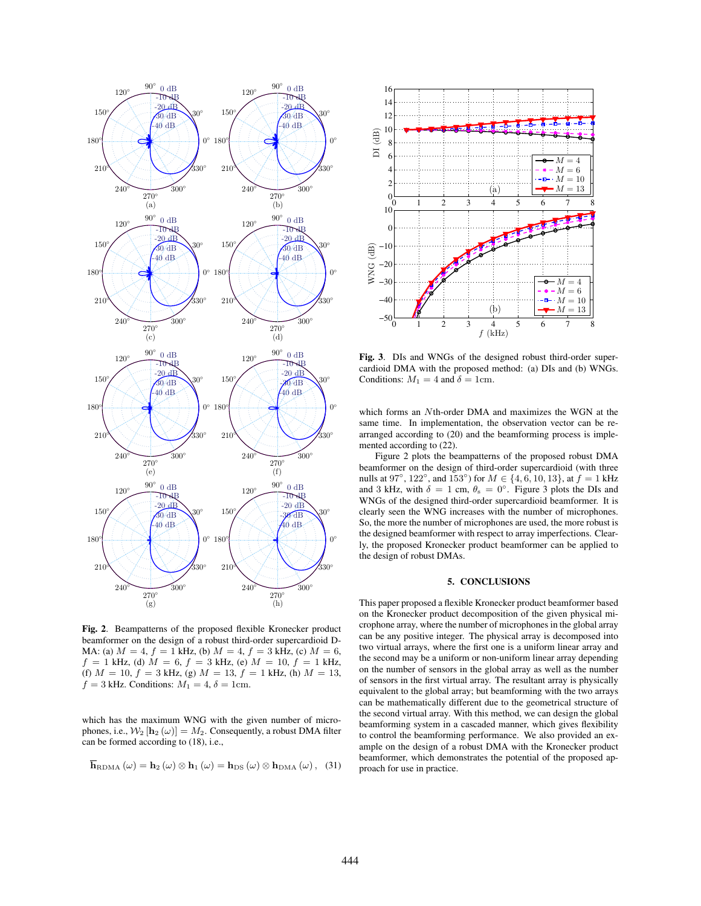

Fig. 2. Beampatterns of the proposed flexible Kronecker product beamformer on the design of a robust third-order supercardioid D-MA: (a)  $M = 4$ ,  $f = 1$  kHz, (b)  $M = 4$ ,  $f = 3$  kHz, (c)  $M = 6$ ,  $f = 1$  kHz, (d)  $M = 6$ ,  $f = 3$  kHz, (e)  $M = 10$ ,  $f = 1$  kHz, (f)  $M = 10$ ,  $f = 3$  kHz, (g)  $M = 13$ ,  $f = 1$  kHz, (h)  $M = 13$ ,  $f = 3$  kHz. Conditions:  $M_1 = 4$ ,  $\delta = 1$ cm.

which has the maximum WNG with the given number of microphones, i.e.,  $W_2$  [ $\mathbf{h}_2(\omega)$ ] =  $M_2$ . Consequently, a robust DMA filter can be formed according to (18), i.e.,

$$
\overline{\mathbf{h}}_{\text{RDMA}}\left(\omega\right) = \mathbf{h}_2\left(\omega\right) \otimes \mathbf{h}_1\left(\omega\right) = \mathbf{h}_{\text{DS}}\left(\omega\right) \otimes \mathbf{h}_{\text{DMA}}\left(\omega\right), \quad (31)
$$



Fig. 3. DIs and WNGs of the designed robust third-order supercardioid DMA with the proposed method: (a) DIs and (b) WNGs. Conditions:  $M_1 = 4$  and  $\delta = 1$ cm.

which forms an *N*th-order DMA and maximizes the WGN at the same time. In implementation, the observation vector can be rearranged according to (20) and the beamforming process is implemented according to (22).

Figure 2 plots the beampatterns of the proposed robust DMA beamformer on the design of third-order supercardioid (with three nulls at 97*◦* , 122*◦* , and 153*◦* ) for *M ∈ {*4*,* 6*,* 10*,* 13*}*, at *f* = 1 kHz and 3 kHz, with  $\delta = 1$  cm,  $\theta_s = 0^\circ$ . Figure 3 plots the DIs and WNGs of the designed third-order supercardioid beamformer. It is clearly seen the WNG increases with the number of microphones. So, the more the number of microphones are used, the more robust is the designed beamformer with respect to array imperfections. Clearly, the proposed Kronecker product beamformer can be applied to the design of robust DMAs.

#### 5. CONCLUSIONS

This paper proposed a flexible Kronecker product beamformer based on the Kronecker product decomposition of the given physical microphone array, where the number of microphones in the global array can be any positive integer. The physical array is decomposed into two virtual arrays, where the first one is a uniform linear array and the second may be a uniform or non-uniform linear array depending on the number of sensors in the global array as well as the number of sensors in the first virtual array. The resultant array is physically equivalent to the global array; but beamforming with the two arrays can be mathematically different due to the geometrical structure of the second virtual array. With this method, we can design the global beamforming system in a cascaded manner, which gives flexibility to control the beamforming performance. We also provided an example on the design of a robust DMA with the Kronecker product beamformer, which demonstrates the potential of the proposed approach for use in practice.